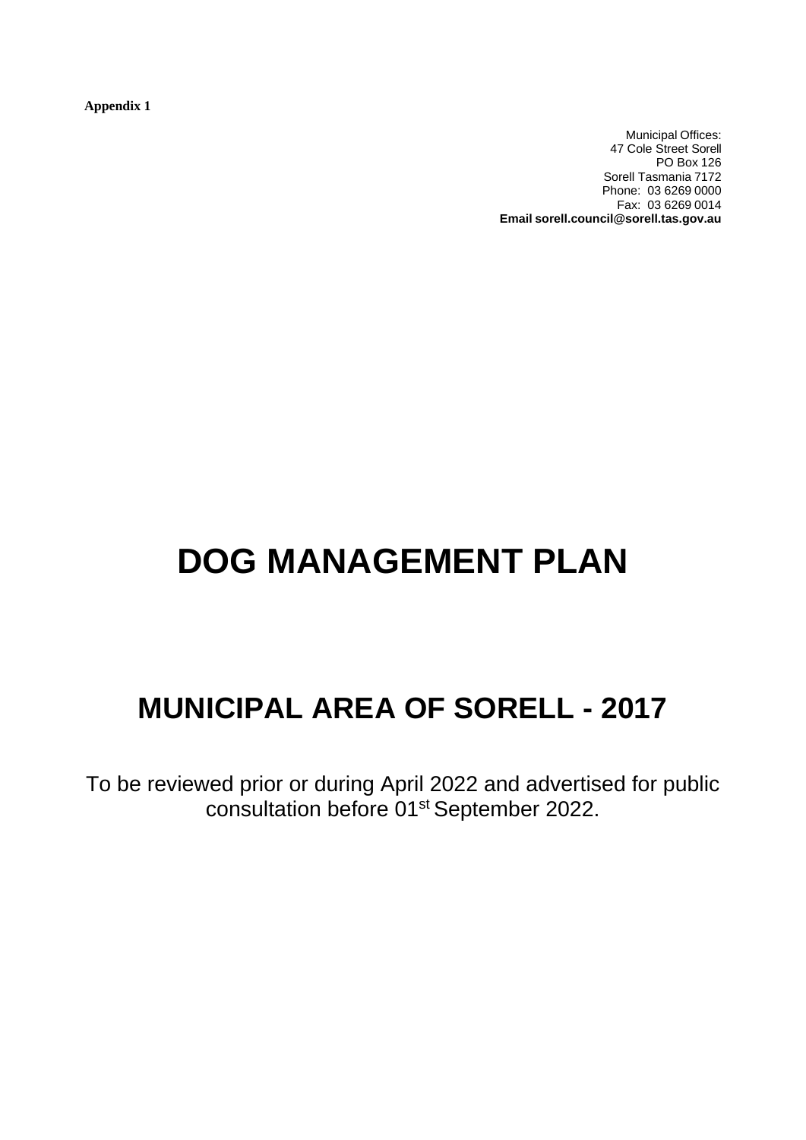**Appendix 1**

Municipal Offices: 47 Cole Street Sorell PO Box 126 Sorell Tasmania 7172 Phone: 03 6269 0000 Fax: 03 6269 0014 **Email sorell.council@sorell.tas.gov.au**

# **DOG MANAGEMENT PLAN**

# **MUNICIPAL AREA OF SORELL - 2017**

To be reviewed prior or during April 2022 and advertised for public consultation before 01st September 2022.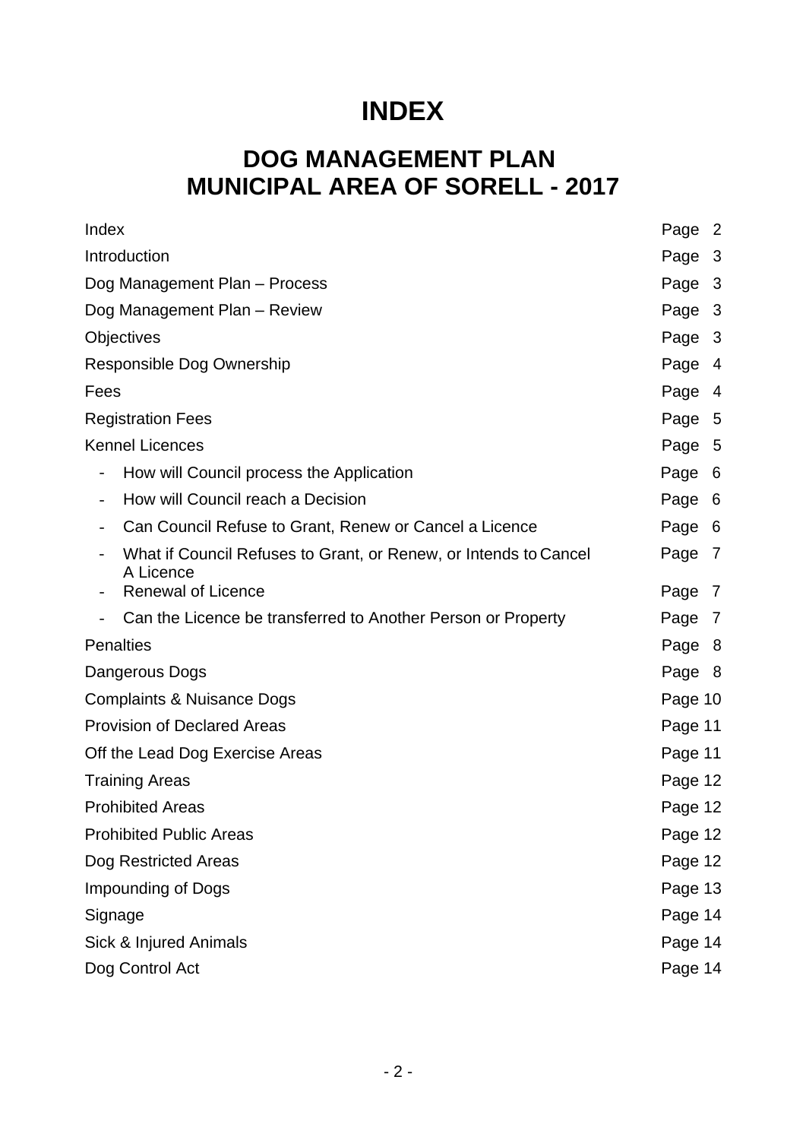# **INDEX**

# **DOG MANAGEMENT PLAN MUNICIPAL AREA OF SORELL - 2017**

| Index                                 |                                                                               | Page 2  |
|---------------------------------------|-------------------------------------------------------------------------------|---------|
| Introduction                          |                                                                               | Page 3  |
| Dog Management Plan - Process         |                                                                               | Page 3  |
| Dog Management Plan - Review          |                                                                               | Page 3  |
| Objectives                            |                                                                               | Page 3  |
| Responsible Dog Ownership             |                                                                               | Page 4  |
| Fees                                  |                                                                               | Page 4  |
| <b>Registration Fees</b>              |                                                                               | Page 5  |
|                                       | <b>Kennel Licences</b>                                                        | Page 5  |
| $\overline{\phantom{0}}$              | How will Council process the Application                                      | Page 6  |
| $\blacksquare$                        | How will Council reach a Decision                                             | Page 6  |
|                                       | Can Council Refuse to Grant, Renew or Cancel a Licence                        | Page 6  |
|                                       | What if Council Refuses to Grant, or Renew, or Intends to Cancel<br>A Licence | Page 7  |
|                                       | <b>Renewal of Licence</b>                                                     | Page 7  |
|                                       | Can the Licence be transferred to Another Person or Property                  | Page 7  |
| <b>Penalties</b>                      |                                                                               | Page 8  |
| Dangerous Dogs                        |                                                                               | Page 8  |
| <b>Complaints &amp; Nuisance Dogs</b> |                                                                               | Page 10 |
| <b>Provision of Declared Areas</b>    |                                                                               | Page 11 |
| Off the Lead Dog Exercise Areas       |                                                                               | Page 11 |
| <b>Training Areas</b>                 |                                                                               | Page 12 |
| <b>Prohibited Areas</b>               |                                                                               | Page 12 |
| <b>Prohibited Public Areas</b>        |                                                                               | Page 12 |
| Dog Restricted Areas                  |                                                                               | Page 12 |
| <b>Impounding of Dogs</b>             |                                                                               | Page 13 |
| Signage                               |                                                                               | Page 14 |
| Sick & Injured Animals                |                                                                               | Page 14 |
| Dog Control Act                       |                                                                               | Page 14 |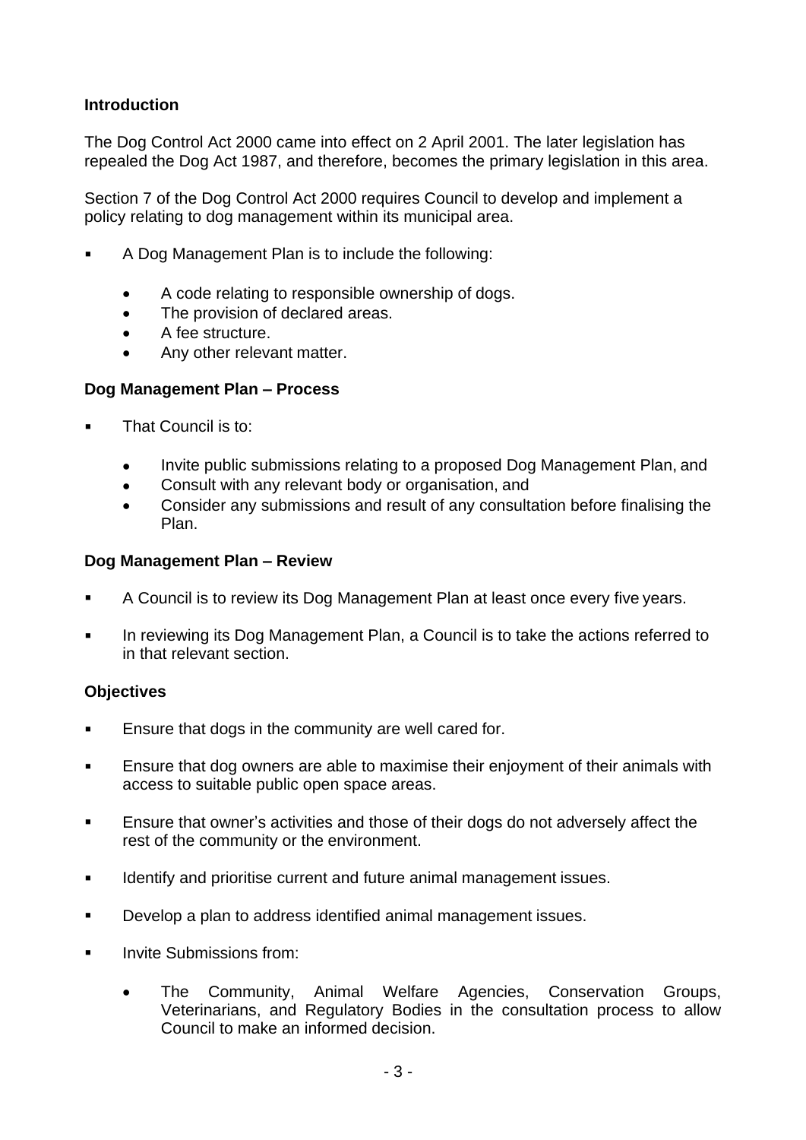# **Introduction**

The Dog Control Act 2000 came into effect on 2 April 2001. The later legislation has repealed the Dog Act 1987, and therefore, becomes the primary legislation in this area.

Section 7 of the Dog Control Act 2000 requires Council to develop and implement a policy relating to dog management within its municipal area.

- A Dog Management Plan is to include the following:
	- A code relating to responsible ownership of dogs.
	- The provision of declared areas.
	- A fee structure.
	- Any other relevant matter.

#### **Dog Management Plan – Process**

- That Council is to:
	- Invite public submissions relating to a proposed Dog Management Plan, and
	- Consult with any relevant body or organisation, and
	- Consider any submissions and result of any consultation before finalising the Plan.

#### **Dog Management Plan – Review**

- A Council is to review its Dog Management Plan at least once every five years.
- In reviewing its Dog Management Plan, a Council is to take the actions referred to in that relevant section.

#### **Objectives**

- Ensure that dogs in the community are well cared for.
- Ensure that dog owners are able to maximise their enjoyment of their animals with access to suitable public open space areas.
- **Ensure that owner's activities and those of their dogs do not adversely affect the** rest of the community or the environment.
- **IDENTIFY And prioritise current and future animal management issues.**
- Develop a plan to address identified animal management issues.
- Invite Submissions from:
	- The Community, Animal Welfare Agencies, Conservation Groups, Veterinarians, and Regulatory Bodies in the consultation process to allow Council to make an informed decision.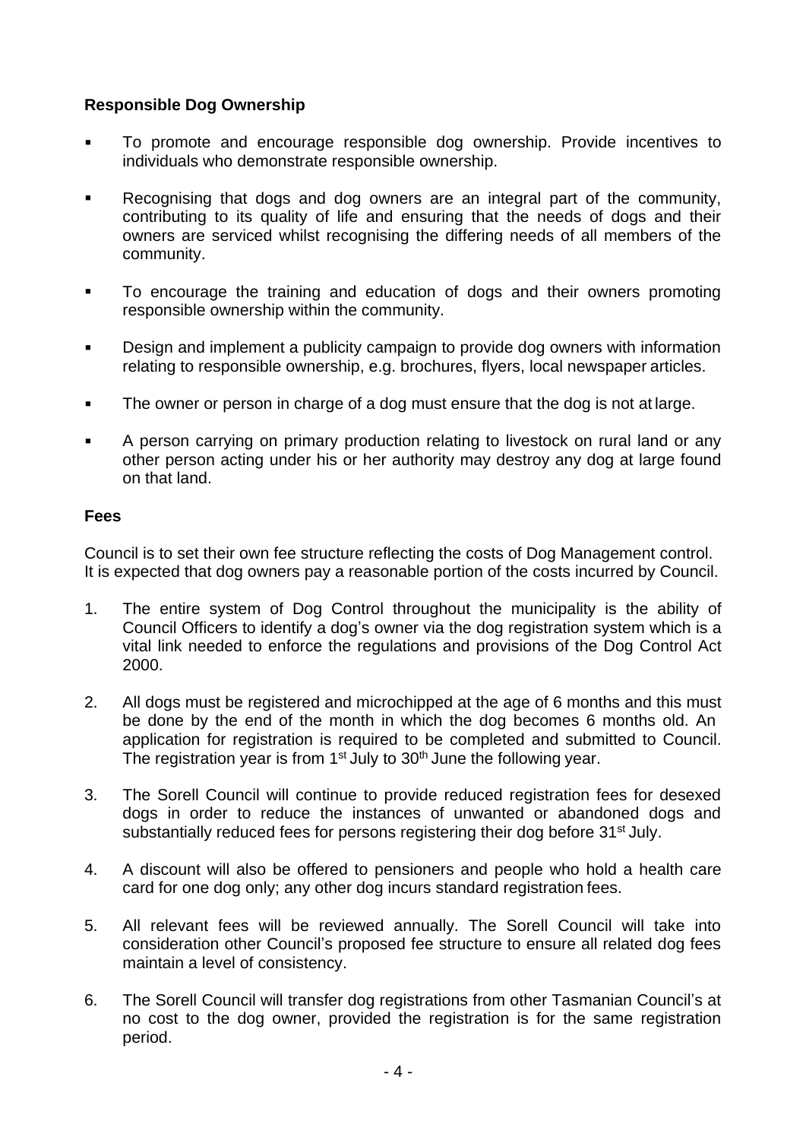# **Responsible Dog Ownership**

- To promote and encourage responsible dog ownership. Provide incentives to individuals who demonstrate responsible ownership.
- Recognising that dogs and dog owners are an integral part of the community, contributing to its quality of life and ensuring that the needs of dogs and their owners are serviced whilst recognising the differing needs of all members of the community.
- To encourage the training and education of dogs and their owners promoting responsible ownership within the community.
- **Design and implement a publicity campaign to provide dog owners with information** relating to responsible ownership, e.g. brochures, flyers, local newspaper articles.
- The owner or person in charge of a dog must ensure that the dog is not at large.
- A person carrying on primary production relating to livestock on rural land or any other person acting under his or her authority may destroy any dog at large found on that land.

### **Fees**

Council is to set their own fee structure reflecting the costs of Dog Management control. It is expected that dog owners pay a reasonable portion of the costs incurred by Council.

- 1. The entire system of Dog Control throughout the municipality is the ability of Council Officers to identify a dog's owner via the dog registration system which is a vital link needed to enforce the regulations and provisions of the Dog Control Act 2000.
- 2. All dogs must be registered and microchipped at the age of 6 months and this must be done by the end of the month in which the dog becomes 6 months old. An application for registration is required to be completed and submitted to Council. The registration year is from  $1<sup>st</sup>$  July to  $30<sup>th</sup>$  June the following year.
- 3. The Sorell Council will continue to provide reduced registration fees for desexed dogs in order to reduce the instances of unwanted or abandoned dogs and substantially reduced fees for persons registering their dog before 31<sup>st</sup> July.
- 4. A discount will also be offered to pensioners and people who hold a health care card for one dog only; any other dog incurs standard registration fees.
- 5. All relevant fees will be reviewed annually. The Sorell Council will take into consideration other Council's proposed fee structure to ensure all related dog fees maintain a level of consistency.
- 6. The Sorell Council will transfer dog registrations from other Tasmanian Council's at no cost to the dog owner, provided the registration is for the same registration period.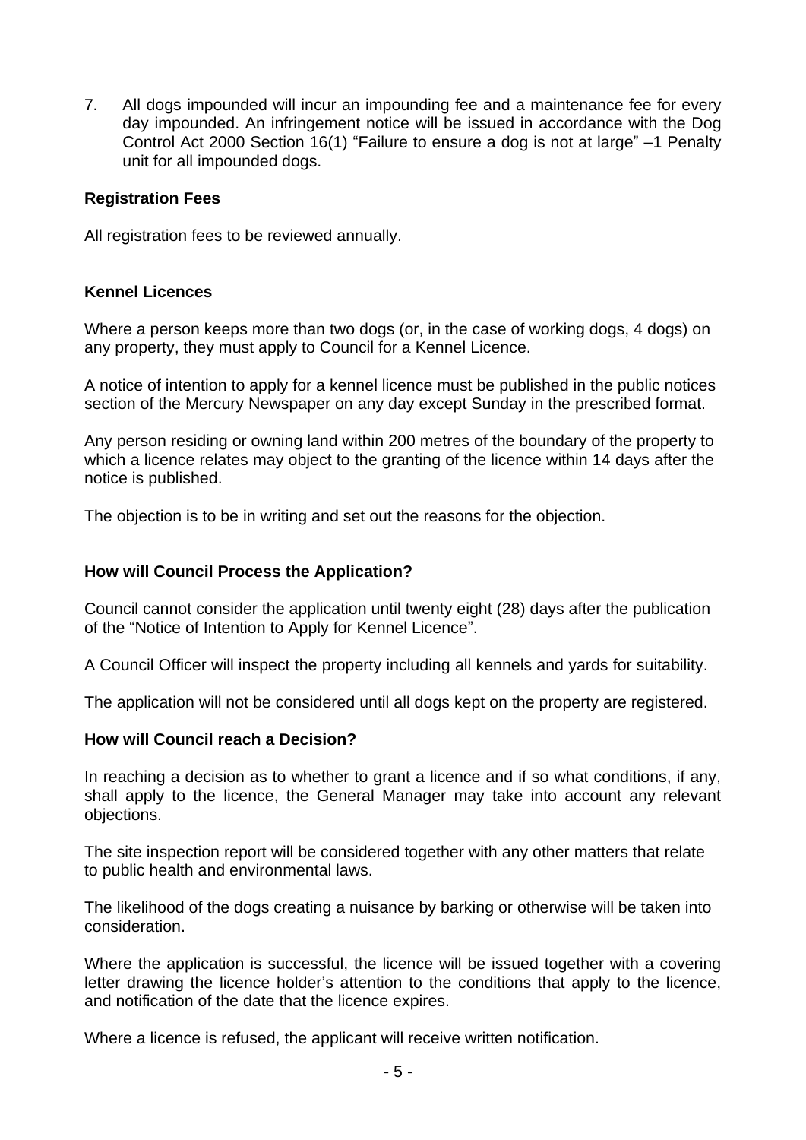7. All dogs impounded will incur an impounding fee and a maintenance fee for every day impounded. An infringement notice will be issued in accordance with the Dog Control Act 2000 Section 16(1) "Failure to ensure a dog is not at large" –1 Penalty unit for all impounded dogs.

#### **Registration Fees**

All registration fees to be reviewed annually.

### **Kennel Licences**

Where a person keeps more than two dogs (or, in the case of working dogs, 4 dogs) on any property, they must apply to Council for a Kennel Licence.

A notice of intention to apply for a kennel licence must be published in the public notices section of the Mercury Newspaper on any day except Sunday in the prescribed format.

Any person residing or owning land within 200 metres of the boundary of the property to which a licence relates may object to the granting of the licence within 14 days after the notice is published.

The objection is to be in writing and set out the reasons for the objection.

#### **How will Council Process the Application?**

Council cannot consider the application until twenty eight (28) days after the publication of the "Notice of Intention to Apply for Kennel Licence".

A Council Officer will inspect the property including all kennels and yards for suitability.

The application will not be considered until all dogs kept on the property are registered.

#### **How will Council reach a Decision?**

In reaching a decision as to whether to grant a licence and if so what conditions, if any, shall apply to the licence, the General Manager may take into account any relevant objections.

The site inspection report will be considered together with any other matters that relate to public health and environmental laws.

The likelihood of the dogs creating a nuisance by barking or otherwise will be taken into consideration.

Where the application is successful, the licence will be issued together with a covering letter drawing the licence holder's attention to the conditions that apply to the licence, and notification of the date that the licence expires.

Where a licence is refused, the applicant will receive written notification.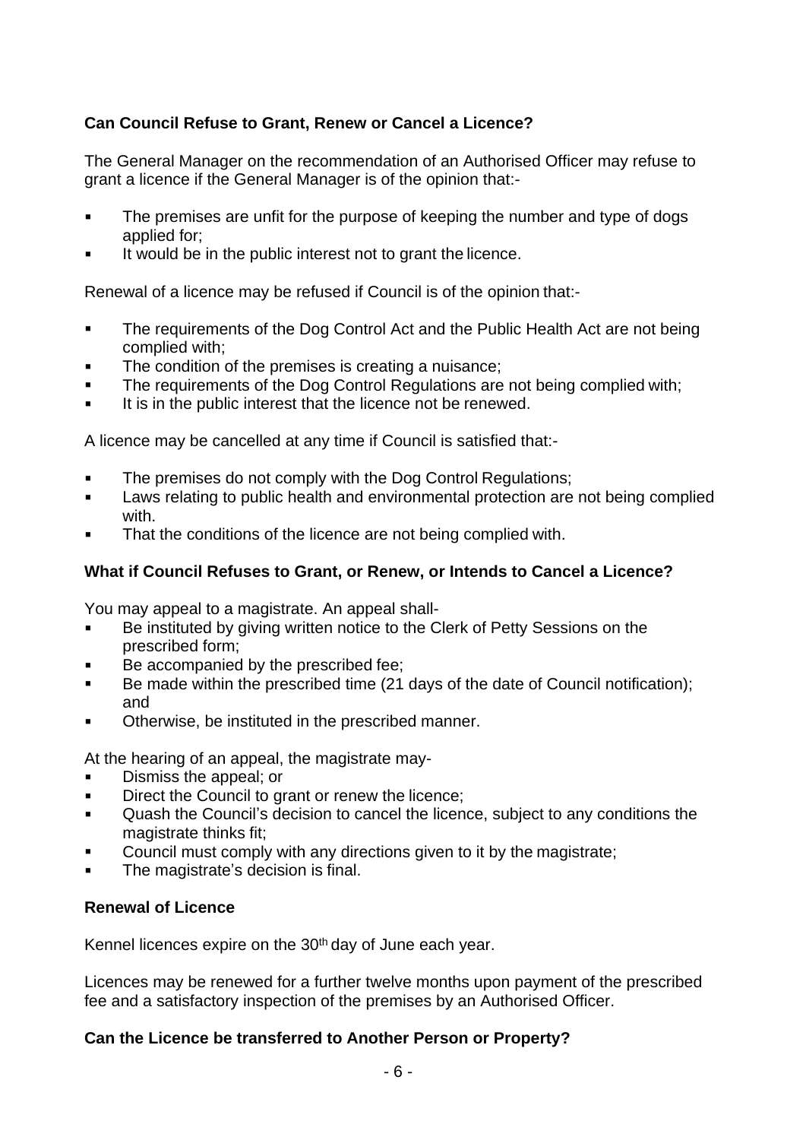# **Can Council Refuse to Grant, Renew or Cancel a Licence?**

The General Manager on the recommendation of an Authorised Officer may refuse to grant a licence if the General Manager is of the opinion that:-

- The premises are unfit for the purpose of keeping the number and type of dogs applied for;
- It would be in the public interest not to grant the licence.

Renewal of a licence may be refused if Council is of the opinion that:-

- The requirements of the Dog Control Act and the Public Health Act are not being complied with;
- The condition of the premises is creating a nuisance;
- The requirements of the Dog Control Regulations are not being complied with;
- It is in the public interest that the licence not be renewed.

A licence may be cancelled at any time if Council is satisfied that:-

- The premises do not comply with the Dog Control Regulations;
- **Laws relating to public health and environmental protection are not being complied** with.
- That the conditions of the licence are not being complied with.

# **What if Council Refuses to Grant, or Renew, or Intends to Cancel a Licence?**

You may appeal to a magistrate. An appeal shall-

- Be instituted by giving written notice to the Clerk of Petty Sessions on the prescribed form;
- Be accompanied by the prescribed fee;
- Be made within the prescribed time (21 days of the date of Council notification); and
- Otherwise, be instituted in the prescribed manner.

At the hearing of an appeal, the magistrate may-

- Dismiss the appeal; or
- Direct the Council to grant or renew the licence;
- Quash the Council's decision to cancel the licence, subject to any conditions the magistrate thinks fit;
- Council must comply with any directions given to it by the magistrate;
- The magistrate's decision is final.

# **Renewal of Licence**

Kennel licences expire on the 30<sup>th</sup> day of June each year.

Licences may be renewed for a further twelve months upon payment of the prescribed fee and a satisfactory inspection of the premises by an Authorised Officer.

# **Can the Licence be transferred to Another Person or Property?**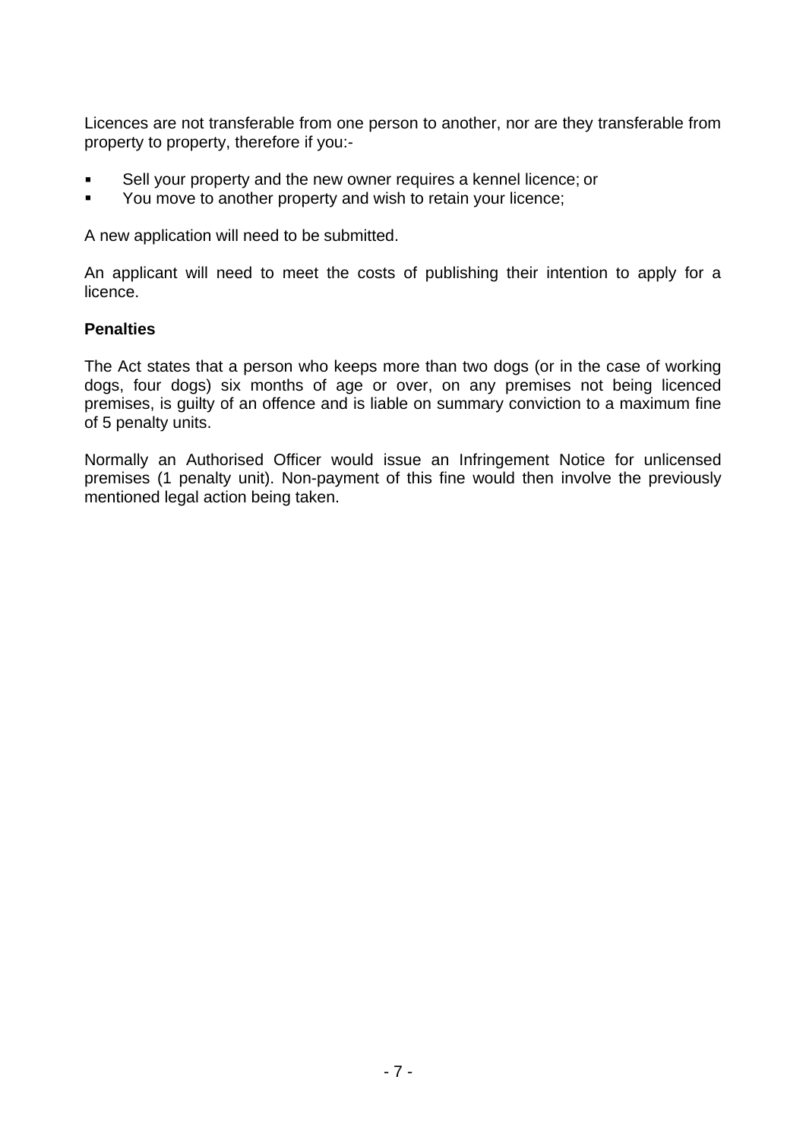Licences are not transferable from one person to another, nor are they transferable from property to property, therefore if you:-

- Sell your property and the new owner requires a kennel licence; or
- You move to another property and wish to retain your licence;

A new application will need to be submitted.

An applicant will need to meet the costs of publishing their intention to apply for a licence.

### **Penalties**

The Act states that a person who keeps more than two dogs (or in the case of working dogs, four dogs) six months of age or over, on any premises not being licenced premises, is guilty of an offence and is liable on summary conviction to a maximum fine of 5 penalty units.

Normally an Authorised Officer would issue an Infringement Notice for unlicensed premises (1 penalty unit). Non-payment of this fine would then involve the previously mentioned legal action being taken.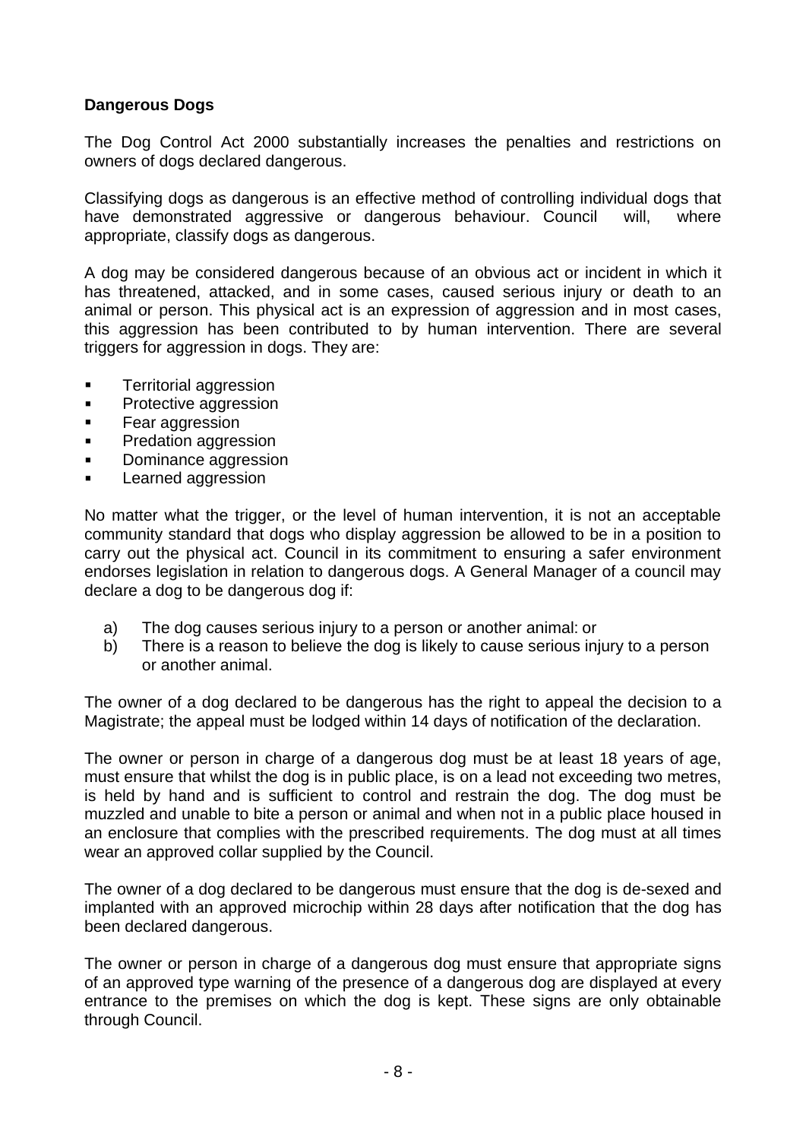# **Dangerous Dogs**

The Dog Control Act 2000 substantially increases the penalties and restrictions on owners of dogs declared dangerous.

Classifying dogs as dangerous is an effective method of controlling individual dogs that have demonstrated aggressive or dangerous behaviour. Council will, where appropriate, classify dogs as dangerous.

A dog may be considered dangerous because of an obvious act or incident in which it has threatened, attacked, and in some cases, caused serious injury or death to an animal or person. This physical act is an expression of aggression and in most cases, this aggression has been contributed to by human intervention. There are several triggers for aggression in dogs. They are:

- Territorial aggression
- **Protective aggression**
- **Fear aggression**
- **Predation aggression**
- **Dominance aggression**
- **Learned aggression**

No matter what the trigger, or the level of human intervention, it is not an acceptable community standard that dogs who display aggression be allowed to be in a position to carry out the physical act. Council in its commitment to ensuring a safer environment endorses legislation in relation to dangerous dogs. A General Manager of a council may declare a dog to be dangerous dog if:

- a) The dog causes serious injury to a person or another animal: or
- b) There is a reason to believe the dog is likely to cause serious injury to a person or another animal.

The owner of a dog declared to be dangerous has the right to appeal the decision to a Magistrate; the appeal must be lodged within 14 days of notification of the declaration.

The owner or person in charge of a dangerous dog must be at least 18 years of age, must ensure that whilst the dog is in public place, is on a lead not exceeding two metres, is held by hand and is sufficient to control and restrain the dog. The dog must be muzzled and unable to bite a person or animal and when not in a public place housed in an enclosure that complies with the prescribed requirements. The dog must at all times wear an approved collar supplied by the Council.

The owner of a dog declared to be dangerous must ensure that the dog is de-sexed and implanted with an approved microchip within 28 days after notification that the dog has been declared dangerous.

The owner or person in charge of a dangerous dog must ensure that appropriate signs of an approved type warning of the presence of a dangerous dog are displayed at every entrance to the premises on which the dog is kept. These signs are only obtainable through Council.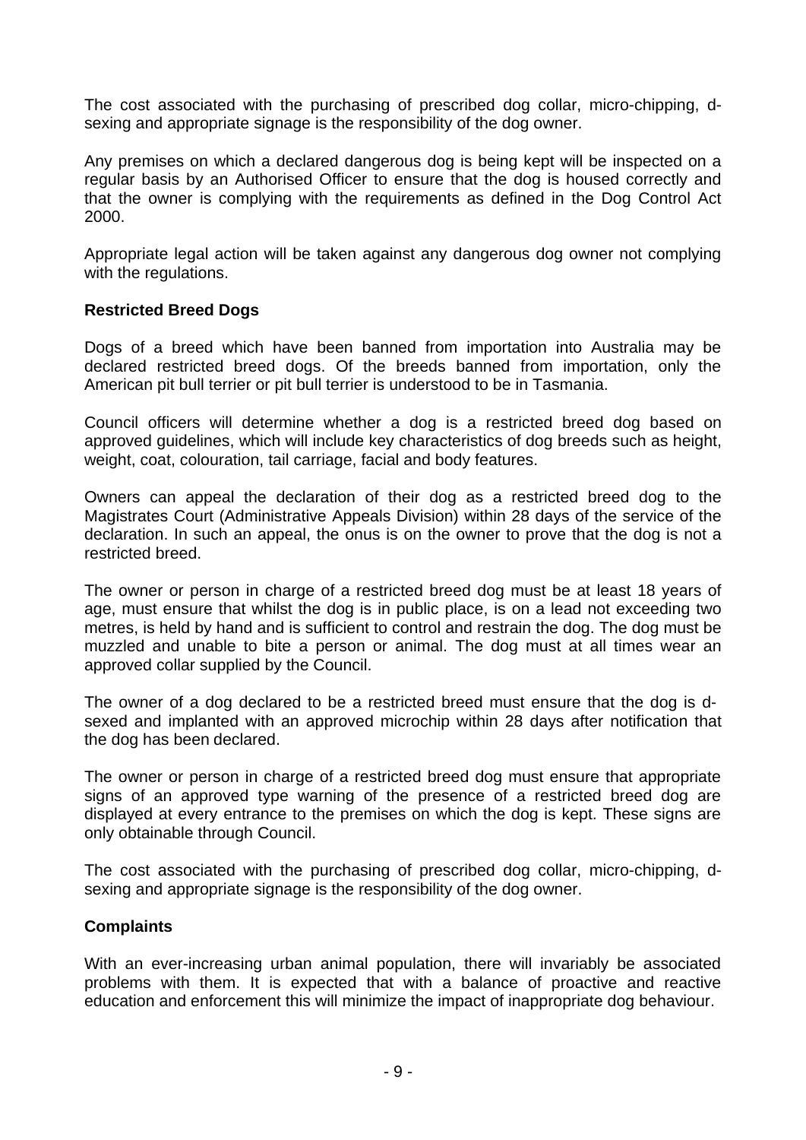The cost associated with the purchasing of prescribed dog collar, micro-chipping, dsexing and appropriate signage is the responsibility of the dog owner.

Any premises on which a declared dangerous dog is being kept will be inspected on a regular basis by an Authorised Officer to ensure that the dog is housed correctly and that the owner is complying with the requirements as defined in the Dog Control Act 2000.

Appropriate legal action will be taken against any dangerous dog owner not complying with the regulations.

### **Restricted Breed Dogs**

Dogs of a breed which have been banned from importation into Australia may be declared restricted breed dogs. Of the breeds banned from importation, only the American pit bull terrier or pit bull terrier is understood to be in Tasmania.

Council officers will determine whether a dog is a restricted breed dog based on approved guidelines, which will include key characteristics of dog breeds such as height, weight, coat, colouration, tail carriage, facial and body features.

Owners can appeal the declaration of their dog as a restricted breed dog to the Magistrates Court (Administrative Appeals Division) within 28 days of the service of the declaration. In such an appeal, the onus is on the owner to prove that the dog is not a restricted breed.

The owner or person in charge of a restricted breed dog must be at least 18 years of age, must ensure that whilst the dog is in public place, is on a lead not exceeding two metres, is held by hand and is sufficient to control and restrain the dog. The dog must be muzzled and unable to bite a person or animal. The dog must at all times wear an approved collar supplied by the Council.

The owner of a dog declared to be a restricted breed must ensure that the dog is dsexed and implanted with an approved microchip within 28 days after notification that the dog has been declared.

The owner or person in charge of a restricted breed dog must ensure that appropriate signs of an approved type warning of the presence of a restricted breed dog are displayed at every entrance to the premises on which the dog is kept. These signs are only obtainable through Council.

The cost associated with the purchasing of prescribed dog collar, micro-chipping, dsexing and appropriate signage is the responsibility of the dog owner.

#### **Complaints**

With an ever-increasing urban animal population, there will invariably be associated problems with them. It is expected that with a balance of proactive and reactive education and enforcement this will minimize the impact of inappropriate dog behaviour.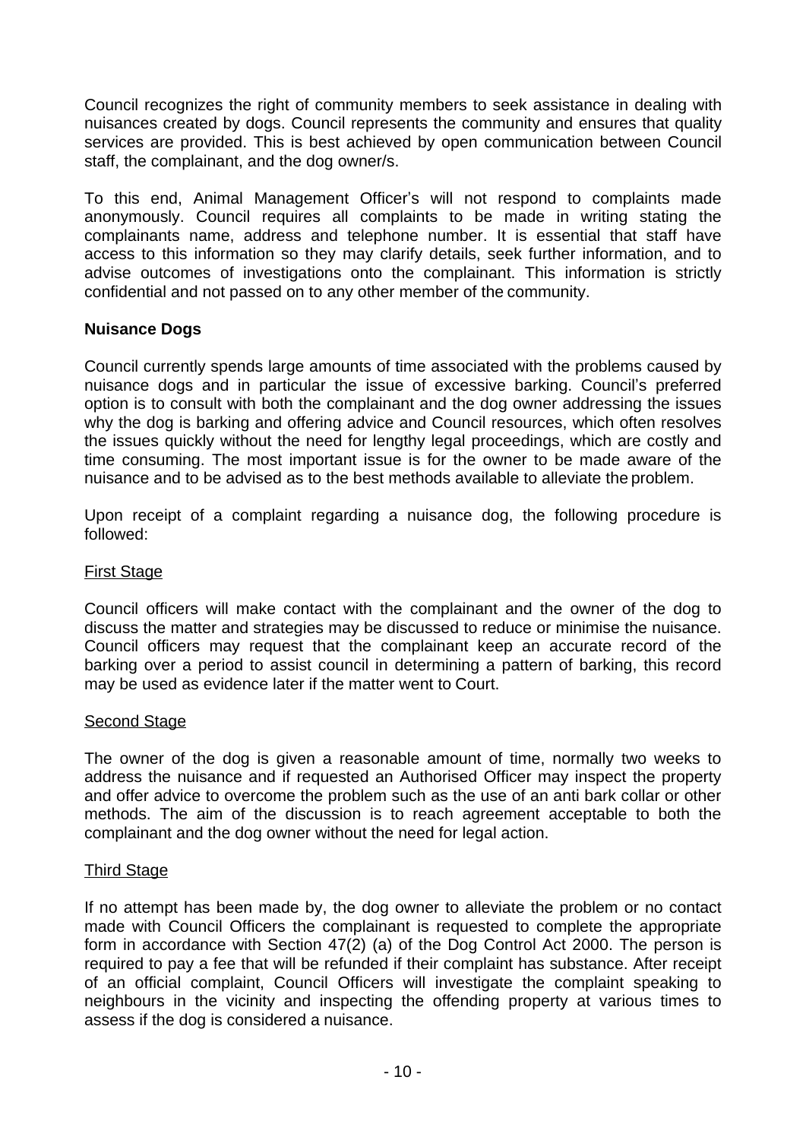Council recognizes the right of community members to seek assistance in dealing with nuisances created by dogs. Council represents the community and ensures that quality services are provided. This is best achieved by open communication between Council staff, the complainant, and the dog owner/s.

To this end, Animal Management Officer's will not respond to complaints made anonymously. Council requires all complaints to be made in writing stating the complainants name, address and telephone number. It is essential that staff have access to this information so they may clarify details, seek further information, and to advise outcomes of investigations onto the complainant. This information is strictly confidential and not passed on to any other member of the community.

# **Nuisance Dogs**

Council currently spends large amounts of time associated with the problems caused by nuisance dogs and in particular the issue of excessive barking. Council's preferred option is to consult with both the complainant and the dog owner addressing the issues why the dog is barking and offering advice and Council resources, which often resolves the issues quickly without the need for lengthy legal proceedings, which are costly and time consuming. The most important issue is for the owner to be made aware of the nuisance and to be advised as to the best methods available to alleviate the problem.

Upon receipt of a complaint regarding a nuisance dog, the following procedure is followed:

# First Stage

Council officers will make contact with the complainant and the owner of the dog to discuss the matter and strategies may be discussed to reduce or minimise the nuisance. Council officers may request that the complainant keep an accurate record of the barking over a period to assist council in determining a pattern of barking, this record may be used as evidence later if the matter went to Court.

# **Second Stage**

The owner of the dog is given a reasonable amount of time, normally two weeks to address the nuisance and if requested an Authorised Officer may inspect the property and offer advice to overcome the problem such as the use of an anti bark collar or other methods. The aim of the discussion is to reach agreement acceptable to both the complainant and the dog owner without the need for legal action.

# Third Stage

If no attempt has been made by, the dog owner to alleviate the problem or no contact made with Council Officers the complainant is requested to complete the appropriate form in accordance with Section 47(2) (a) of the Dog Control Act 2000. The person is required to pay a fee that will be refunded if their complaint has substance. After receipt of an official complaint, Council Officers will investigate the complaint speaking to neighbours in the vicinity and inspecting the offending property at various times to assess if the dog is considered a nuisance.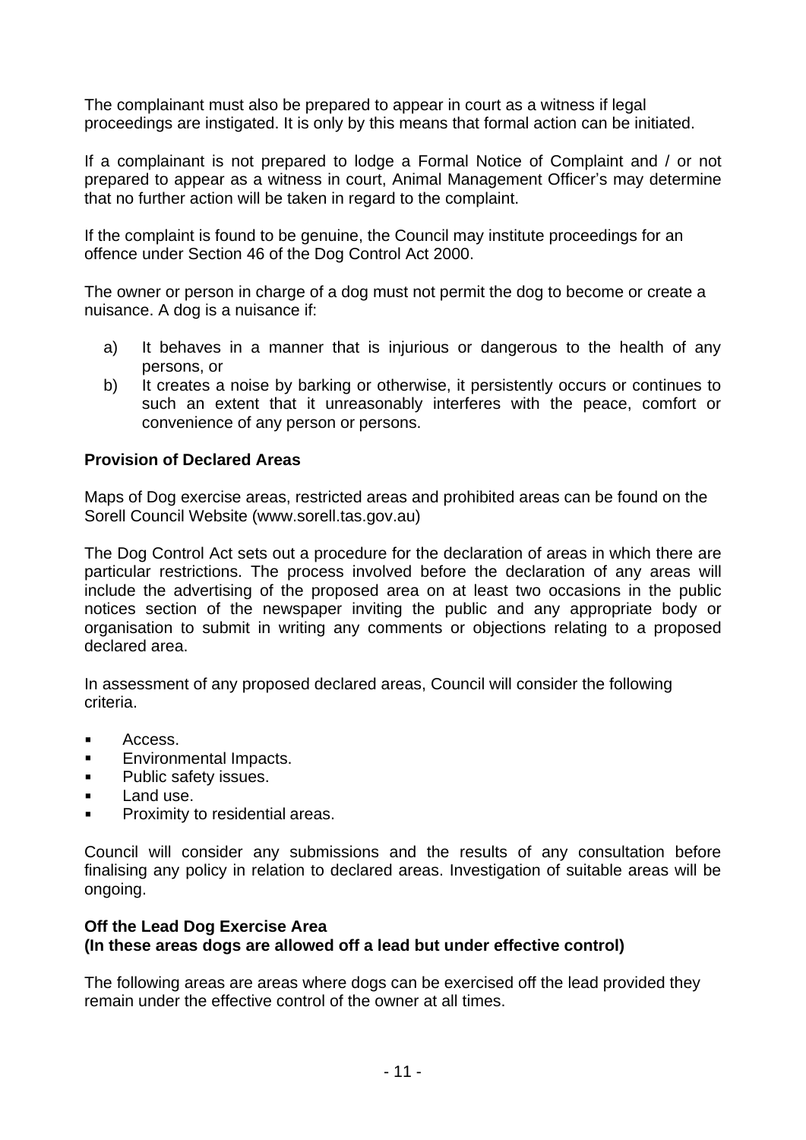The complainant must also be prepared to appear in court as a witness if legal proceedings are instigated. It is only by this means that formal action can be initiated.

If a complainant is not prepared to lodge a Formal Notice of Complaint and / or not prepared to appear as a witness in court, Animal Management Officer's may determine that no further action will be taken in regard to the complaint.

If the complaint is found to be genuine, the Council may institute proceedings for an offence under Section 46 of the Dog Control Act 2000.

The owner or person in charge of a dog must not permit the dog to become or create a nuisance. A dog is a nuisance if:

- a) It behaves in a manner that is injurious or dangerous to the health of any persons, or
- b) It creates a noise by barking or otherwise, it persistently occurs or continues to such an extent that it unreasonably interferes with the peace, comfort or convenience of any person or persons.

# **Provision of Declared Areas**

Maps of Dog exercise areas, restricted areas and prohibited areas can be found on the Sorell Council Website (www.sorell.tas.gov.au)

The Dog Control Act sets out a procedure for the declaration of areas in which there are particular restrictions. The process involved before the declaration of any areas will include the advertising of the proposed area on at least two occasions in the public notices section of the newspaper inviting the public and any appropriate body or organisation to submit in writing any comments or objections relating to a proposed declared area.

In assessment of any proposed declared areas, Council will consider the following criteria.

- **Access.**
- **Environmental Impacts.**
- **Public safety issues.**
- **Land use.**
- **Proximity to residential areas.**

Council will consider any submissions and the results of any consultation before finalising any policy in relation to declared areas. Investigation of suitable areas will be ongoing.

### **Off the Lead Dog Exercise Area (In these areas dogs are allowed off a lead but under effective control)**

The following areas are areas where dogs can be exercised off the lead provided they remain under the effective control of the owner at all times.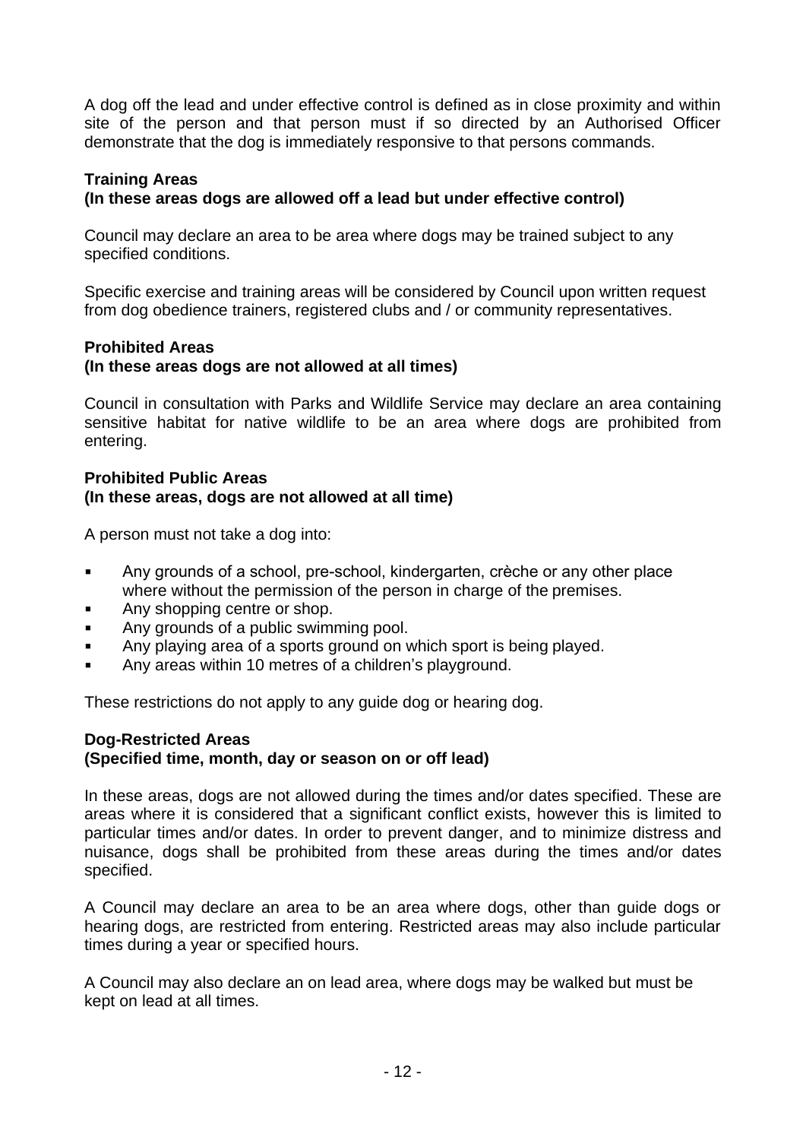A dog off the lead and under effective control is defined as in close proximity and within site of the person and that person must if so directed by an Authorised Officer demonstrate that the dog is immediately responsive to that persons commands.

# **Training Areas**

# **(In these areas dogs are allowed off a lead but under effective control)**

Council may declare an area to be area where dogs may be trained subject to any specified conditions.

Specific exercise and training areas will be considered by Council upon written request from dog obedience trainers, registered clubs and / or community representatives.

### **Prohibited Areas (In these areas dogs are not allowed at all times)**

Council in consultation with Parks and Wildlife Service may declare an area containing sensitive habitat for native wildlife to be an area where dogs are prohibited from entering.

#### **Prohibited Public Areas (In these areas, dogs are not allowed at all time)**

A person must not take a dog into:

- Any grounds of a school, pre-school, kindergarten, crèche or any other place where without the permission of the person in charge of the premises.
- Any shopping centre or shop.
- Any grounds of a public swimming pool.
- Any playing area of a sports ground on which sport is being played.
- Any areas within 10 metres of a children's playground.

These restrictions do not apply to any guide dog or hearing dog.

#### **Dog-Restricted Areas (Specified time, month, day or season on or off lead)**

In these areas, dogs are not allowed during the times and/or dates specified. These are areas where it is considered that a significant conflict exists, however this is limited to particular times and/or dates. In order to prevent danger, and to minimize distress and nuisance, dogs shall be prohibited from these areas during the times and/or dates specified.

A Council may declare an area to be an area where dogs, other than guide dogs or hearing dogs, are restricted from entering. Restricted areas may also include particular times during a year or specified hours.

A Council may also declare an on lead area, where dogs may be walked but must be kept on lead at all times.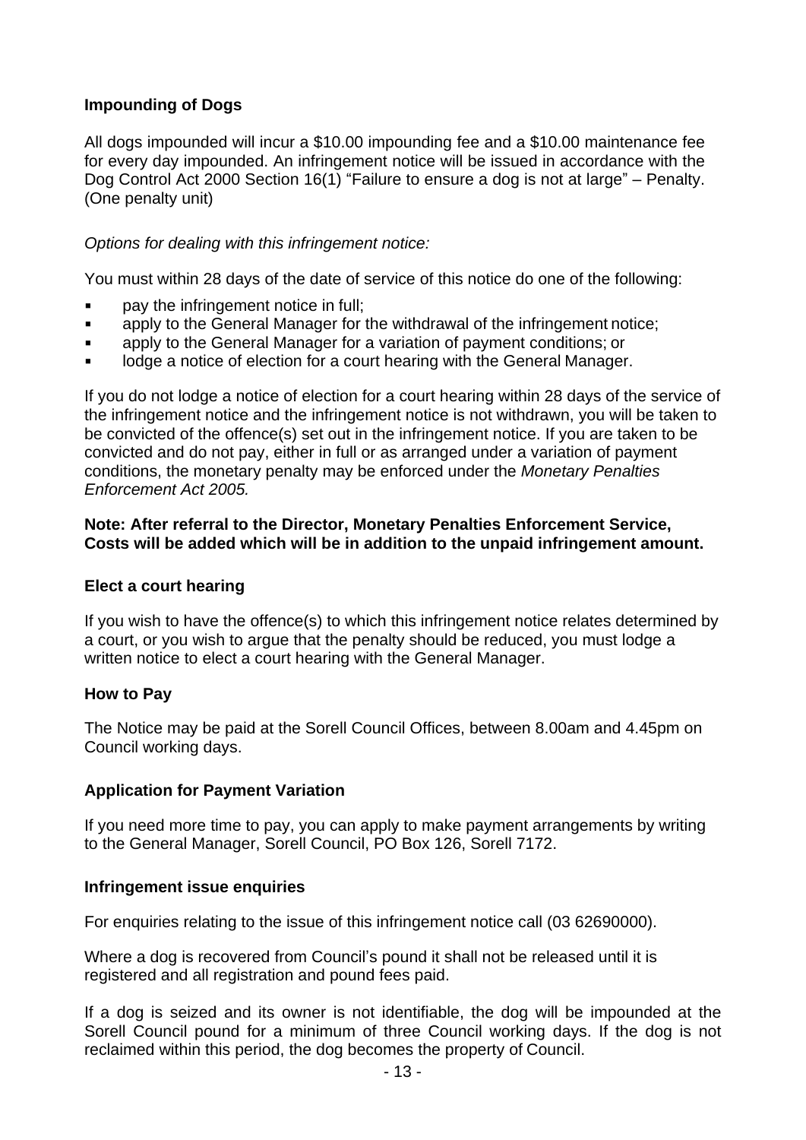# **Impounding of Dogs**

All dogs impounded will incur a \$10.00 impounding fee and a \$10.00 maintenance fee for every day impounded. An infringement notice will be issued in accordance with the Dog Control Act 2000 Section 16(1) "Failure to ensure a dog is not at large" – Penalty. (One penalty unit)

### *Options for dealing with this infringement notice:*

You must within 28 days of the date of service of this notice do one of the following:

- pay the infringement notice in full;
- **EXECT** apply to the General Manager for the withdrawal of the infringement notice;
- apply to the General Manager for a variation of payment conditions; or
- lodge a notice of election for a court hearing with the General Manager.

If you do not lodge a notice of election for a court hearing within 28 days of the service of the infringement notice and the infringement notice is not withdrawn, you will be taken to be convicted of the offence(s) set out in the infringement notice. If you are taken to be convicted and do not pay, either in full or as arranged under a variation of payment conditions, the monetary penalty may be enforced under the *Monetary Penalties Enforcement Act 2005.*

#### **Note: After referral to the Director, Monetary Penalties Enforcement Service, Costs will be added which will be in addition to the unpaid infringement amount.**

#### **Elect a court hearing**

If you wish to have the offence(s) to which this infringement notice relates determined by a court, or you wish to argue that the penalty should be reduced, you must lodge a written notice to elect a court hearing with the General Manager.

#### **How to Pay**

The Notice may be paid at the Sorell Council Offices, between 8.00am and 4.45pm on Council working days.

#### **Application for Payment Variation**

If you need more time to pay, you can apply to make payment arrangements by writing to the General Manager, Sorell Council, PO Box 126, Sorell 7172.

#### **Infringement issue enquiries**

For enquiries relating to the issue of this infringement notice call (03 62690000).

Where a dog is recovered from Council's pound it shall not be released until it is registered and all registration and pound fees paid.

If a dog is seized and its owner is not identifiable, the dog will be impounded at the Sorell Council pound for a minimum of three Council working days. If the dog is not reclaimed within this period, the dog becomes the property of Council.